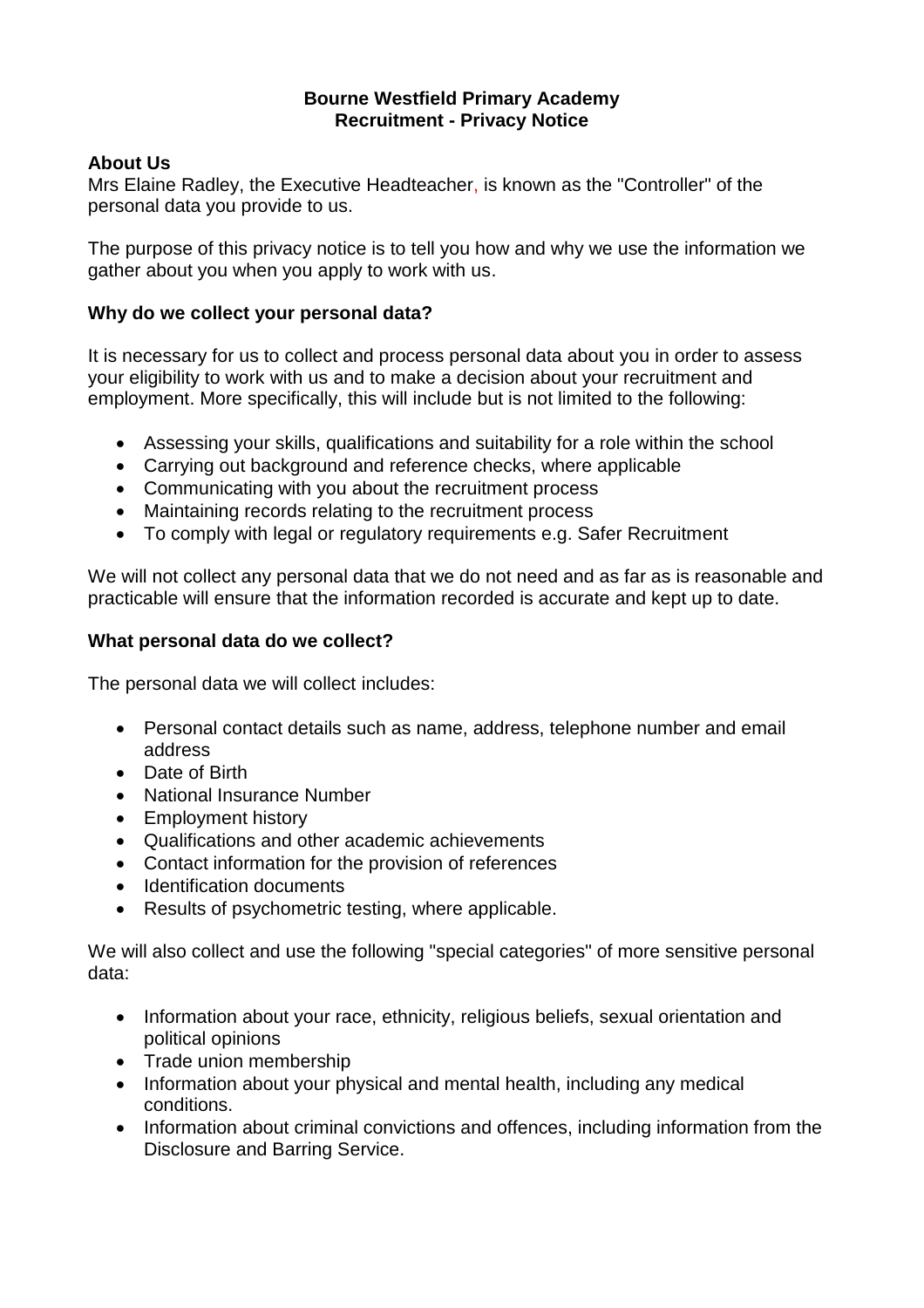### **Bourne Westfield Primary Academy Recruitment - Privacy Notice**

# **About Us**

Mrs Elaine Radley, the Executive Headteacher, is known as the "Controller" of the personal data you provide to us.

The purpose of this privacy notice is to tell you how and why we use the information we gather about you when you apply to work with us.

# **Why do we collect your personal data?**

It is necessary for us to collect and process personal data about you in order to assess your eligibility to work with us and to make a decision about your recruitment and employment. More specifically, this will include but is not limited to the following:

- Assessing your skills, qualifications and suitability for a role within the school
- Carrying out background and reference checks, where applicable
- Communicating with you about the recruitment process
- Maintaining records relating to the recruitment process
- To comply with legal or regulatory requirements e.g. Safer Recruitment

We will not collect any personal data that we do not need and as far as is reasonable and practicable will ensure that the information recorded is accurate and kept up to date.

## **What personal data do we collect?**

The personal data we will collect includes:

- Personal contact details such as name, address, telephone number and email address
- Date of Birth
- National Insurance Number
- Employment history
- Qualifications and other academic achievements
- Contact information for the provision of references
- Identification documents
- Results of psychometric testing, where applicable.

We will also collect and use the following "special categories" of more sensitive personal data:

- Information about your race, ethnicity, religious beliefs, sexual orientation and political opinions
- Trade union membership
- Information about your physical and mental health, including any medical conditions.
- Information about criminal convictions and offences, including information from the Disclosure and Barring Service.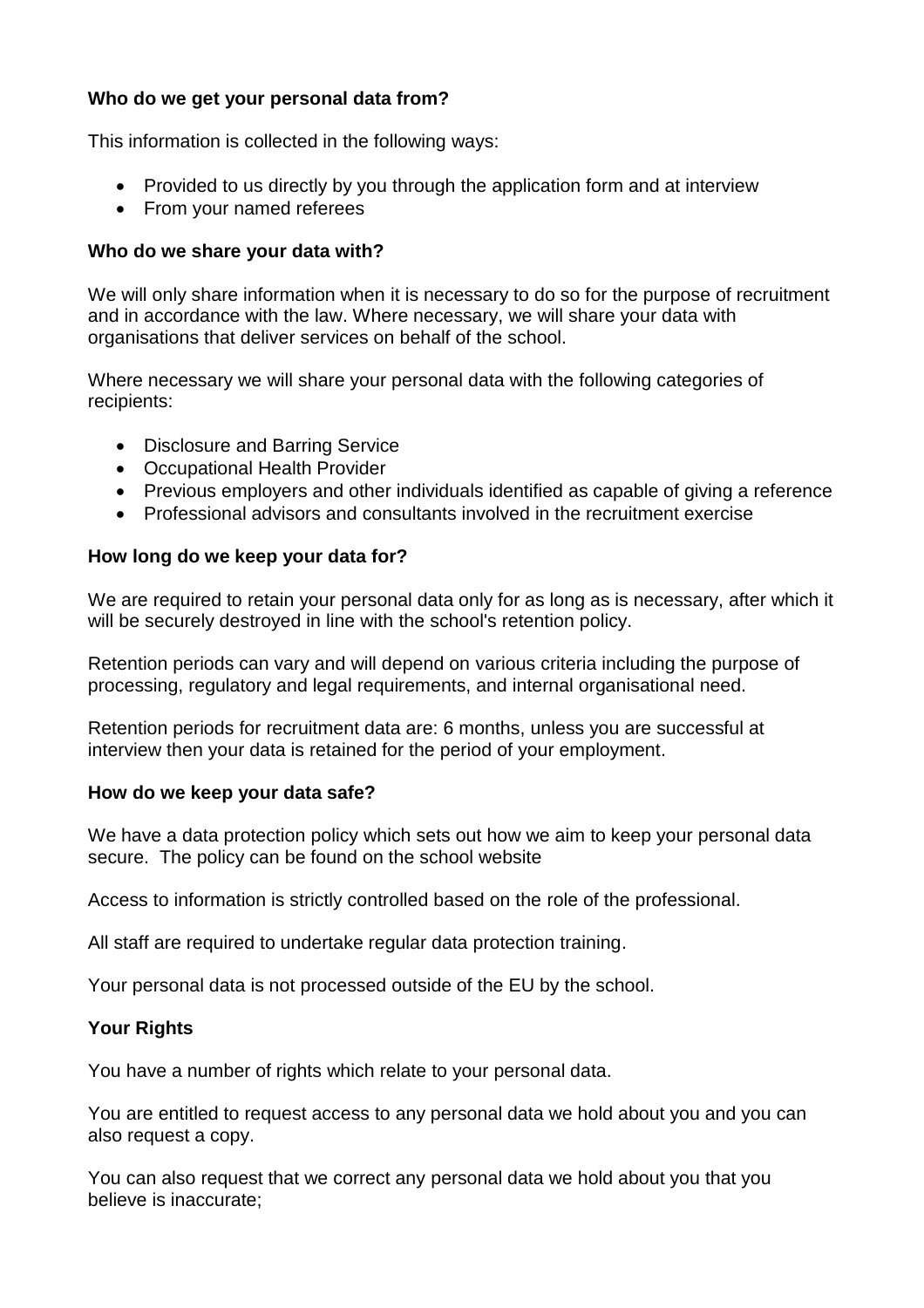# **Who do we get your personal data from?**

This information is collected in the following ways:

- Provided to us directly by you through the application form and at interview
- From your named referees

### **Who do we share your data with?**

We will only share information when it is necessary to do so for the purpose of recruitment and in accordance with the law. Where necessary, we will share your data with organisations that deliver services on behalf of the school.

Where necessary we will share your personal data with the following categories of recipients:

- Disclosure and Barring Service
- Occupational Health Provider
- Previous employers and other individuals identified as capable of giving a reference
- Professional advisors and consultants involved in the recruitment exercise

### **How long do we keep your data for?**

We are required to retain your personal data only for as long as is necessary, after which it will be securely destroyed in line with the school's retention policy.

Retention periods can vary and will depend on various criteria including the purpose of processing, regulatory and legal requirements, and internal organisational need.

Retention periods for recruitment data are: 6 months, unless you are successful at interview then your data is retained for the period of your employment.

### **How do we keep your data safe?**

We have a data protection policy which sets out how we aim to keep your personal data secure. The policy can be found on the school website

Access to information is strictly controlled based on the role of the professional.

All staff are required to undertake regular data protection training.

Your personal data is not processed outside of the EU by the school.

### **Your Rights**

You have a number of rights which relate to your personal data.

You are entitled to request access to any personal data we hold about you and you can also request a copy.

You can also request that we correct any personal data we hold about you that you believe is inaccurate;